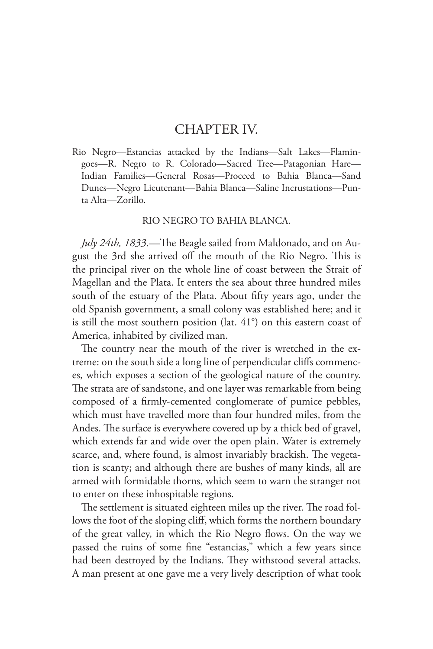## CHAPTER IV.

Rio Negro—Estancias attacked by the Indians—Salt Lakes—Flamingoes—R. Negro to R. Colorado—Sacred Tree—Patagonian Hare— Indian Families—General Rosas—Proceed to Bahia Blanca—Sand Dunes—Negro Lieutenant—Bahia Blanca—Saline Incrustations—Punta Alta—Zorillo.

## RIO NEGRO TO BAHIA BLANCA.

*July 24th, 1833*.—The Beagle sailed from Maldonado, and on August the 3rd she arrived off the mouth of the Rio Negro. This is the principal river on the whole line of coast between the Strait of Magellan and the Plata. It enters the sea about three hundred miles south of the estuary of the Plata. About fifty years ago, under the old Spanish government, a small colony was established here; and it is still the most southern position (lat. 41°) on this eastern coast of America, inhabited by civilized man.

The country near the mouth of the river is wretched in the extreme: on the south side a long line of perpendicular cliffs commences, which exposes a section of the geological nature of the country. The strata are of sandstone, and one layer was remarkable from being composed of a firmly-cemented conglomerate of pumice pebbles, which must have travelled more than four hundred miles, from the Andes. The surface is everywhere covered up by a thick bed of gravel, which extends far and wide over the open plain. Water is extremely scarce, and, where found, is almost invariably brackish. The vegetation is scanty; and although there are bushes of many kinds, all are armed with formidable thorns, which seem to warn the stranger not to enter on these inhospitable regions.

The settlement is situated eighteen miles up the river. The road follows the foot of the sloping cliff, which forms the northern boundary of the great valley, in which the Rio Negro flows. On the way we passed the ruins of some fine "estancias," which a few years since had been destroyed by the Indians. They withstood several attacks. A man present at one gave me a very lively description of what took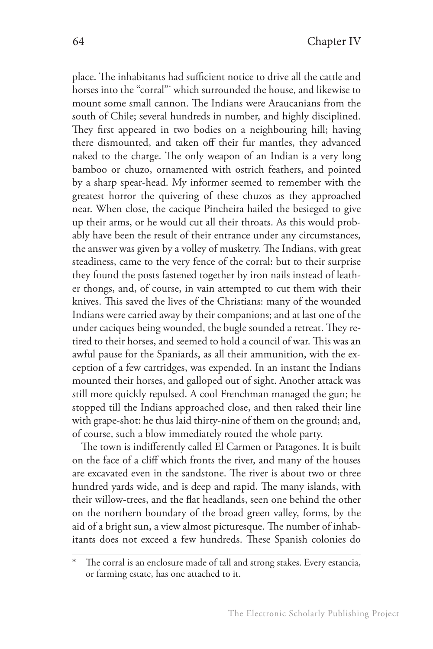place. The inhabitants had sufficient notice to drive all the cattle and horses into the "corral"\* which surrounded the house, and likewise to mount some small cannon. The Indians were Araucanians from the south of Chile; several hundreds in number, and highly disciplined. They first appeared in two bodies on a neighbouring hill; having there dismounted, and taken off their fur mantles, they advanced naked to the charge. The only weapon of an Indian is a very long bamboo or chuzo, ornamented with ostrich feathers, and pointed by a sharp spear-head. My informer seemed to remember with the greatest horror the quivering of these chuzos as they approached near. When close, the cacique Pincheira hailed the besieged to give up their arms, or he would cut all their throats. As this would probably have been the result of their entrance under any circumstances, the answer was given by a volley of musketry. The Indians, with great steadiness, came to the very fence of the corral: but to their surprise they found the posts fastened together by iron nails instead of leather thongs, and, of course, in vain attempted to cut them with their knives. This saved the lives of the Christians: many of the wounded Indians were carried away by their companions; and at last one of the under caciques being wounded, the bugle sounded a retreat. They retired to their horses, and seemed to hold a council of war. This was an awful pause for the Spaniards, as all their ammunition, with the exception of a few cartridges, was expended. In an instant the Indians mounted their horses, and galloped out of sight. Another attack was still more quickly repulsed. A cool Frenchman managed the gun; he stopped till the Indians approached close, and then raked their line with grape-shot: he thus laid thirty-nine of them on the ground; and, of course, such a blow immediately routed the whole party.

The town is indifferently called El Carmen or Patagones. It is built on the face of a cliff which fronts the river, and many of the houses are excavated even in the sandstone. The river is about two or three hundred yards wide, and is deep and rapid. The many islands, with their willow-trees, and the flat headlands, seen one behind the other on the northern boundary of the broad green valley, forms, by the aid of a bright sun, a view almost picturesque. The number of inhabitants does not exceed a few hundreds. These Spanish colonies do

The corral is an enclosure made of tall and strong stakes. Every estancia, or farming estate, has one attached to it.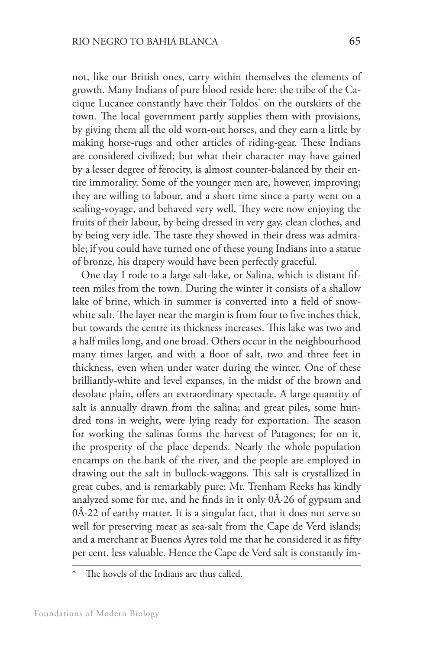not, like our British ones, carry within themselves the elements of growth. Many Indians of pure blood reside here: the tribe of the Cacique Lucanee constantly have their Toldos\* on the outskirts of the town. The local government partly supplies them with provisions, by giving them all the old worn-out horses, and they earn a little by making horse-rugs and other articles of riding-gear. These Indians are considered civilized; but what their character may have gained by a lesser degree of ferocity, is almost counter-balanced by their entire immorality. Some of the younger men are, however, improving; they are willing to labour, and a short time since a party went on a sealing-voyage, and behaved very well. They were now enjoying the fruits of their labour, by being dressed in very gay, clean clothes, and by being very idle. The taste they showed in their dress was admirable; if you could have turned one of these young Indians into a statue of bronze, his drapery would have been perfectly graceful.

One day I rode to a large salt-lake, or Salina, which is distant fifteen miles from the town. During the winter it consists of a shallow lake of brine, which in summer is converted into a field of snowwhite salt. The layer near the margin is from four to five inches thick, but towards the centre its thickness increases. This lake was two and a half miles long, and one broad. Others occur in the neighbourhood many times larger, and with a floor of salt, two and three feet in thickness, even when under water during the winter. One of these brilliantly-white and level expanses, in the midst of the brown and desolate plain, offers an extraordinary spectacle. A large quantity of salt is annually drawn from the salina; and great piles, some hundred tons in weight, were lying ready for exportation. The season for working the salinas forms the harvest of Patagones; for on it, the prosperity of the place depends. Nearly the whole population encamps on the bank of the river, and the people are employed in drawing out the salt in bullock-waggons. This salt is crystallized in great cubes, and is remarkably pure: Mr. Trenham Reeks has kindly analyzed some for me, and he finds in it only  $0\hat{A}$ -26 of gypsum and  $0A.22$  of earthy matter. It is a singular fact, that it does not serve so well for preserving meat as sea-salt from the Cape de Verd islands; and a merchant at Buenos Ayres told me that he considered it as fifty per cent. less valuable. Hence the Cape de Verd salt is constantly im-

The hovels of the Indians are thus called.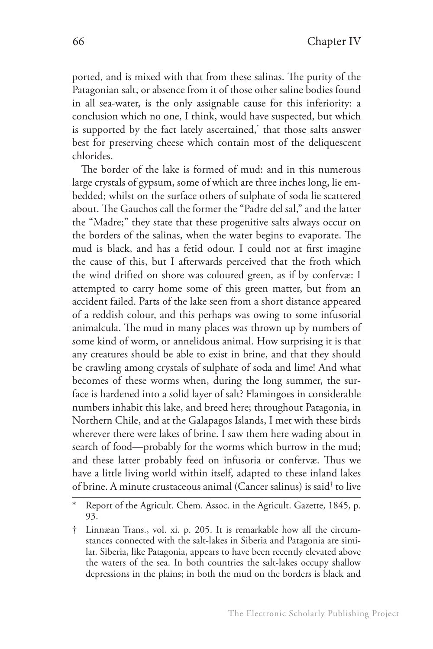ported, and is mixed with that from these salinas. The purity of the Patagonian salt, or absence from it of those other saline bodies found in all sea-water, is the only assignable cause for this inferiority: a conclusion which no one, I think, would have suspected, but which is supported by the fact lately ascertained,\* that those salts answer best for preserving cheese which contain most of the deliquescent chlorides.

The border of the lake is formed of mud: and in this numerous large crystals of gypsum, some of which are three inches long, lie embedded; whilst on the surface others of sulphate of soda lie scattered about. The Gauchos call the former the "Padre del sal," and the latter the "Madre;" they state that these progenitive salts always occur on the borders of the salinas, when the water begins to evaporate. The mud is black, and has a fetid odour. I could not at first imagine the cause of this, but I afterwards perceived that the froth which the wind drifted on shore was coloured green, as if by confervæ: I attempted to carry home some of this green matter, but from an accident failed. Parts of the lake seen from a short distance appeared of a reddish colour, and this perhaps was owing to some infusorial animalcula. The mud in many places was thrown up by numbers of some kind of worm, or annelidous animal. How surprising it is that any creatures should be able to exist in brine, and that they should be crawling among crystals of sulphate of soda and lime! And what becomes of these worms when, during the long summer, the surface is hardened into a solid layer of salt? Flamingoes in considerable numbers inhabit this lake, and breed here; throughout Patagonia, in Northern Chile, and at the Galapagos Islands, I met with these birds wherever there were lakes of brine. I saw them here wading about in search of food—probably for the worms which burrow in the mud; and these latter probably feed on infusoria or confervæ. Thus we have a little living world within itself, adapted to these inland lakes of brine. A minute crustaceous animal (Cancer salinus) is said† to live

Report of the Agricult. Chem. Assoc. in the Agricult. Gazette, 1845, p. 93.

<sup>†</sup> Linnæan Trans., vol. xi. p. 205. It is remarkable how all the circumstances connected with the salt-lakes in Siberia and Patagonia are similar. Siberia, like Patagonia, appears to have been recently elevated above the waters of the sea. In both countries the salt-lakes occupy shallow depressions in the plains; in both the mud on the borders is black and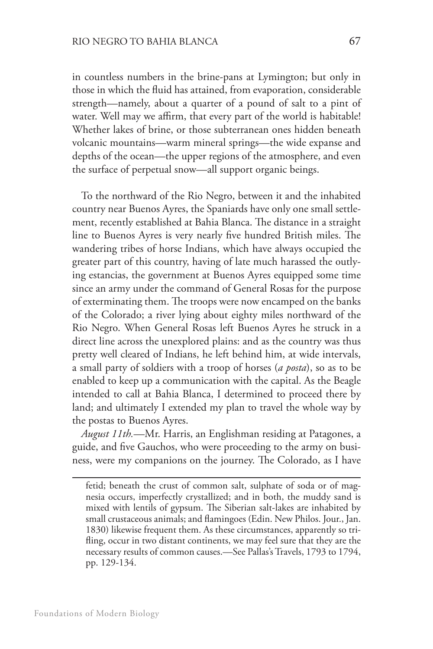in countless numbers in the brine-pans at Lymington; but only in those in which the fluid has attained, from evaporation, considerable strength—namely, about a quarter of a pound of salt to a pint of water. Well may we affirm, that every part of the world is habitable! Whether lakes of brine, or those subterranean ones hidden beneath volcanic mountains—warm mineral springs—the wide expanse and depths of the ocean—the upper regions of the atmosphere, and even the surface of perpetual snow—all support organic beings.

To the northward of the Rio Negro, between it and the inhabited country near Buenos Ayres, the Spaniards have only one small settlement, recently established at Bahia Blanca. The distance in a straight line to Buenos Ayres is very nearly five hundred British miles. The wandering tribes of horse Indians, which have always occupied the greater part of this country, having of late much harassed the outlying estancias, the government at Buenos Ayres equipped some time since an army under the command of General Rosas for the purpose of exterminating them. The troops were now encamped on the banks of the Colorado; a river lying about eighty miles northward of the Rio Negro. When General Rosas left Buenos Ayres he struck in a direct line across the unexplored plains: and as the country was thus pretty well cleared of Indians, he left behind him, at wide intervals, a small party of soldiers with a troop of horses (*a posta*), so as to be enabled to keep up a communication with the capital. As the Beagle intended to call at Bahia Blanca, I determined to proceed there by land; and ultimately I extended my plan to travel the whole way by the postas to Buenos Ayres.

*August 11th.*—Mr. Harris, an Englishman residing at Patagones, a guide, and five Gauchos, who were proceeding to the army on business, were my companions on the journey. The Colorado, as I have

fetid; beneath the crust of common salt, sulphate of soda or of magnesia occurs, imperfectly crystallized; and in both, the muddy sand is mixed with lentils of gypsum. The Siberian salt-lakes are inhabited by small crustaceous animals; and flamingoes (Edin. New Philos. Jour., Jan. 1830) likewise frequent them. As these circumstances, apparently so trifling, occur in two distant continents, we may feel sure that they are the necessary results of common causes.—See Pallas's Travels, 1793 to 1794, pp. 129-134.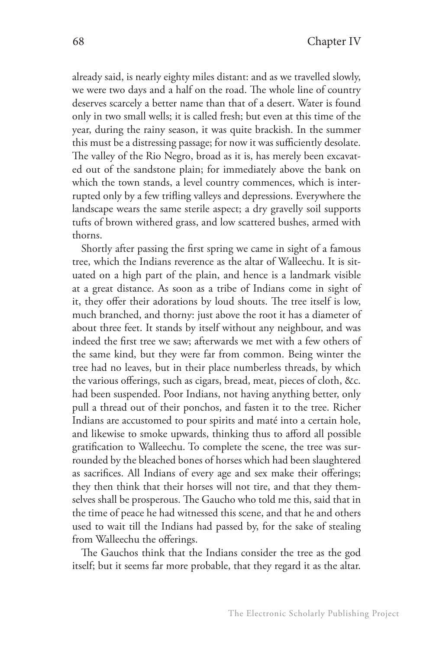already said, is nearly eighty miles distant: and as we travelled slowly, we were two days and a half on the road. The whole line of country deserves scarcely a better name than that of a desert. Water is found only in two small wells; it is called fresh; but even at this time of the year, during the rainy season, it was quite brackish. In the summer this must be a distressing passage; for now it was sufficiently desolate. The valley of the Rio Negro, broad as it is, has merely been excavated out of the sandstone plain; for immediately above the bank on which the town stands, a level country commences, which is interrupted only by a few trifling valleys and depressions. Everywhere the landscape wears the same sterile aspect; a dry gravelly soil supports tufts of brown withered grass, and low scattered bushes, armed with thorns.

Shortly after passing the first spring we came in sight of a famous tree, which the Indians reverence as the altar of Walleechu. It is situated on a high part of the plain, and hence is a landmark visible at a great distance. As soon as a tribe of Indians come in sight of it, they offer their adorations by loud shouts. The tree itself is low, much branched, and thorny: just above the root it has a diameter of about three feet. It stands by itself without any neighbour, and was indeed the first tree we saw; afterwards we met with a few others of the same kind, but they were far from common. Being winter the tree had no leaves, but in their place numberless threads, by which the various offerings, such as cigars, bread, meat, pieces of cloth, &c. had been suspended. Poor Indians, not having anything better, only pull a thread out of their ponchos, and fasten it to the tree. Richer Indians are accustomed to pour spirits and maté into a certain hole, and likewise to smoke upwards, thinking thus to afford all possible gratification to Walleechu. To complete the scene, the tree was surrounded by the bleached bones of horses which had been slaughtered as sacrifices. All Indians of every age and sex make their offerings; they then think that their horses will not tire, and that they themselves shall be prosperous. The Gaucho who told me this, said that in the time of peace he had witnessed this scene, and that he and others used to wait till the Indians had passed by, for the sake of stealing from Walleechu the offerings.

The Gauchos think that the Indians consider the tree as the god itself; but it seems far more probable, that they regard it as the altar.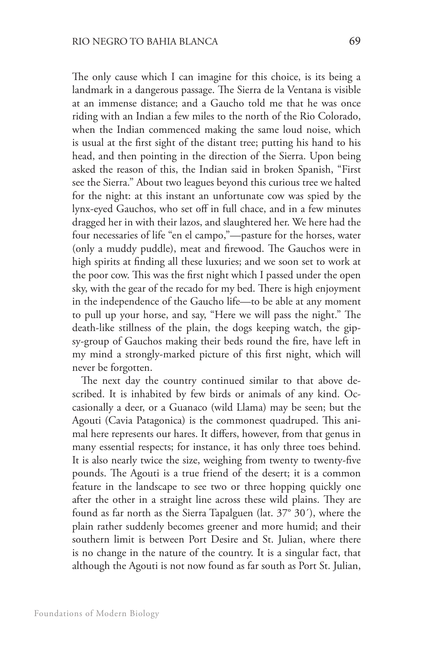The only cause which I can imagine for this choice, is its being a landmark in a dangerous passage. The Sierra de la Ventana is visible at an immense distance; and a Gaucho told me that he was once riding with an Indian a few miles to the north of the Rio Colorado, when the Indian commenced making the same loud noise, which is usual at the first sight of the distant tree; putting his hand to his head, and then pointing in the direction of the Sierra. Upon being asked the reason of this, the Indian said in broken Spanish, "First see the Sierra." About two leagues beyond this curious tree we halted for the night: at this instant an unfortunate cow was spied by the lynx-eyed Gauchos, who set off in full chace, and in a few minutes dragged her in with their lazos, and slaughtered her. We here had the four necessaries of life "en el campo,"—pasture for the horses, water (only a muddy puddle), meat and firewood. The Gauchos were in high spirits at finding all these luxuries; and we soon set to work at the poor cow. This was the first night which I passed under the open sky, with the gear of the recado for my bed. There is high enjoyment in the independence of the Gaucho life—to be able at any moment to pull up your horse, and say, "Here we will pass the night." The death-like stillness of the plain, the dogs keeping watch, the gipsy-group of Gauchos making their beds round the fire, have left in my mind a strongly-marked picture of this first night, which will never be forgotten.

The next day the country continued similar to that above described. It is inhabited by few birds or animals of any kind. Occasionally a deer, or a Guanaco (wild Llama) may be seen; but the Agouti (Cavia Patagonica) is the commonest quadruped. This animal here represents our hares. It differs, however, from that genus in many essential respects; for instance, it has only three toes behind. It is also nearly twice the size, weighing from twenty to twenty-five pounds. The Agouti is a true friend of the desert; it is a common feature in the landscape to see two or three hopping quickly one after the other in a straight line across these wild plains. They are found as far north as the Sierra Tapalguen (lat. 37° 30´), where the plain rather suddenly becomes greener and more humid; and their southern limit is between Port Desire and St. Julian, where there is no change in the nature of the country. It is a singular fact, that although the Agouti is not now found as far south as Port St. Julian,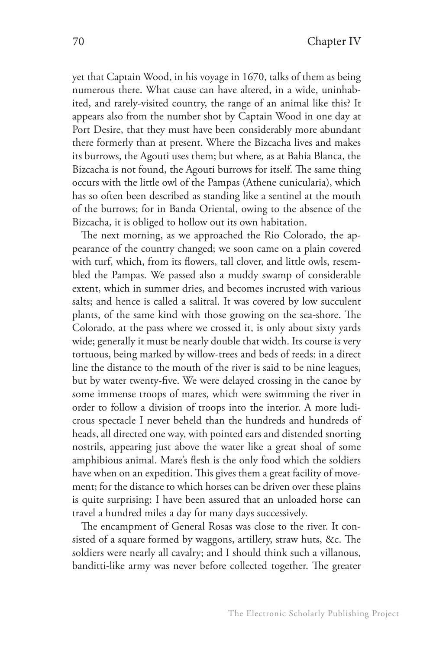yet that Captain Wood, in his voyage in 1670, talks of them as being numerous there. What cause can have altered, in a wide, uninhabited, and rarely-visited country, the range of an animal like this? It appears also from the number shot by Captain Wood in one day at Port Desire, that they must have been considerably more abundant there formerly than at present. Where the Bizcacha lives and makes its burrows, the Agouti uses them; but where, as at Bahia Blanca, the Bizcacha is not found, the Agouti burrows for itself. The same thing occurs with the little owl of the Pampas (Athene cunicularia), which has so often been described as standing like a sentinel at the mouth of the burrows; for in Banda Oriental, owing to the absence of the Bizcacha, it is obliged to hollow out its own habitation.

The next morning, as we approached the Rio Colorado, the appearance of the country changed; we soon came on a plain covered with turf, which, from its flowers, tall clover, and little owls, resembled the Pampas. We passed also a muddy swamp of considerable extent, which in summer dries, and becomes incrusted with various salts; and hence is called a salitral. It was covered by low succulent plants, of the same kind with those growing on the sea-shore. The Colorado, at the pass where we crossed it, is only about sixty yards wide; generally it must be nearly double that width. Its course is very tortuous, being marked by willow-trees and beds of reeds: in a direct line the distance to the mouth of the river is said to be nine leagues, but by water twenty-five. We were delayed crossing in the canoe by some immense troops of mares, which were swimming the river in order to follow a division of troops into the interior. A more ludicrous spectacle I never beheld than the hundreds and hundreds of heads, all directed one way, with pointed ears and distended snorting nostrils, appearing just above the water like a great shoal of some amphibious animal. Mare's flesh is the only food which the soldiers have when on an expedition. This gives them a great facility of movement; for the distance to which horses can be driven over these plains is quite surprising: I have been assured that an unloaded horse can travel a hundred miles a day for many days successively.

The encampment of General Rosas was close to the river. It consisted of a square formed by waggons, artillery, straw huts, &c. The soldiers were nearly all cavalry; and I should think such a villanous, banditti-like army was never before collected together. The greater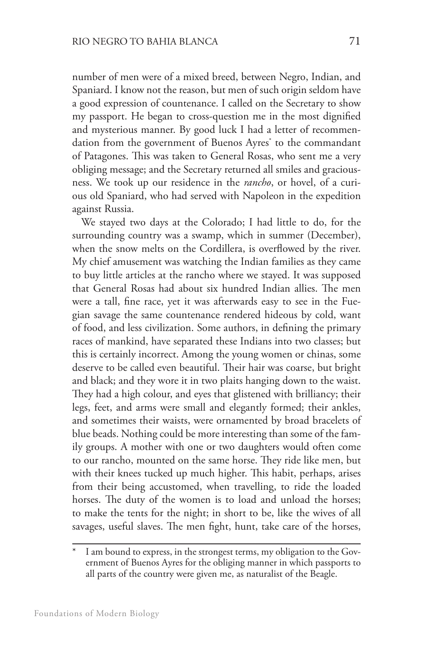number of men were of a mixed breed, between Negro, Indian, and Spaniard. I know not the reason, but men of such origin seldom have a good expression of countenance. I called on the Secretary to show my passport. He began to cross-question me in the most dignified and mysterious manner. By good luck I had a letter of recommendation from the government of Buenos Ayres\* to the commandant of Patagones. This was taken to General Rosas, who sent me a very obliging message; and the Secretary returned all smiles and graciousness. We took up our residence in the *rancho*, or hovel, of a curious old Spaniard, who had served with Napoleon in the expedition against Russia.

We stayed two days at the Colorado; I had little to do, for the surrounding country was a swamp, which in summer (December), when the snow melts on the Cordillera, is overflowed by the river. My chief amusement was watching the Indian families as they came to buy little articles at the rancho where we stayed. It was supposed that General Rosas had about six hundred Indian allies. The men were a tall, fine race, yet it was afterwards easy to see in the Fuegian savage the same countenance rendered hideous by cold, want of food, and less civilization. Some authors, in defining the primary races of mankind, have separated these Indians into two classes; but this is certainly incorrect. Among the young women or chinas, some deserve to be called even beautiful. Their hair was coarse, but bright and black; and they wore it in two plaits hanging down to the waist. They had a high colour, and eyes that glistened with brilliancy; their legs, feet, and arms were small and elegantly formed; their ankles, and sometimes their waists, were ornamented by broad bracelets of blue beads. Nothing could be more interesting than some of the family groups. A mother with one or two daughters would often come to our rancho, mounted on the same horse. They ride like men, but with their knees tucked up much higher. This habit, perhaps, arises from their being accustomed, when travelling, to ride the loaded horses. The duty of the women is to load and unload the horses; to make the tents for the night; in short to be, like the wives of all savages, useful slaves. The men fight, hunt, take care of the horses,

I am bound to express, in the strongest terms, my obligation to the Government of Buenos Ayres for the obliging manner in which passports to all parts of the country were given me, as naturalist of the Beagle.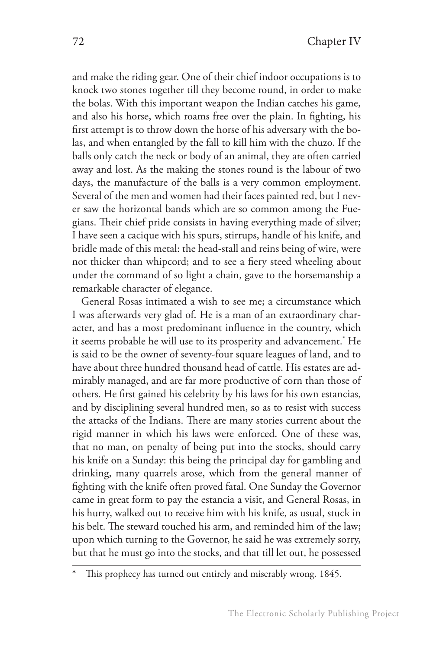and make the riding gear. One of their chief indoor occupations is to knock two stones together till they become round, in order to make the bolas. With this important weapon the Indian catches his game, and also his horse, which roams free over the plain. In fighting, his first attempt is to throw down the horse of his adversary with the bolas, and when entangled by the fall to kill him with the chuzo. If the balls only catch the neck or body of an animal, they are often carried away and lost. As the making the stones round is the labour of two days, the manufacture of the balls is a very common employment. Several of the men and women had their faces painted red, but I never saw the horizontal bands which are so common among the Fuegians. Their chief pride consists in having everything made of silver; I have seen a cacique with his spurs, stirrups, handle of his knife, and bridle made of this metal: the head-stall and reins being of wire, were not thicker than whipcord; and to see a fiery steed wheeling about under the command of so light a chain, gave to the horsemanship a remarkable character of elegance.

General Rosas intimated a wish to see me; a circumstance which I was afterwards very glad of. He is a man of an extraordinary character, and has a most predominant influence in the country, which it seems probable he will use to its prosperity and advancement.\* He is said to be the owner of seventy-four square leagues of land, and to have about three hundred thousand head of cattle. His estates are admirably managed, and are far more productive of corn than those of others. He first gained his celebrity by his laws for his own estancias, and by disciplining several hundred men, so as to resist with success the attacks of the Indians. There are many stories current about the rigid manner in which his laws were enforced. One of these was, that no man, on penalty of being put into the stocks, should carry his knife on a Sunday: this being the principal day for gambling and drinking, many quarrels arose, which from the general manner of fighting with the knife often proved fatal. One Sunday the Governor came in great form to pay the estancia a visit, and General Rosas, in his hurry, walked out to receive him with his knife, as usual, stuck in his belt. The steward touched his arm, and reminded him of the law; upon which turning to the Governor, he said he was extremely sorry, but that he must go into the stocks, and that till let out, he possessed

This prophecy has turned out entirely and miserably wrong. 1845.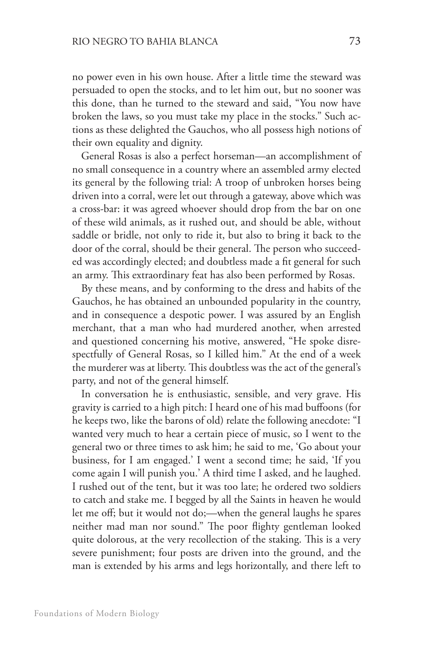no power even in his own house. After a little time the steward was persuaded to open the stocks, and to let him out, but no sooner was this done, than he turned to the steward and said, "You now have broken the laws, so you must take my place in the stocks." Such actions as these delighted the Gauchos, who all possess high notions of their own equality and dignity.

General Rosas is also a perfect horseman—an accomplishment of no small consequence in a country where an assembled army elected its general by the following trial: A troop of unbroken horses being driven into a corral, were let out through a gateway, above which was a cross-bar: it was agreed whoever should drop from the bar on one of these wild animals, as it rushed out, and should be able, without saddle or bridle, not only to ride it, but also to bring it back to the door of the corral, should be their general. The person who succeeded was accordingly elected; and doubtless made a fit general for such an army. This extraordinary feat has also been performed by Rosas.

By these means, and by conforming to the dress and habits of the Gauchos, he has obtained an unbounded popularity in the country, and in consequence a despotic power. I was assured by an English merchant, that a man who had murdered another, when arrested and questioned concerning his motive, answered, "He spoke disrespectfully of General Rosas, so I killed him." At the end of a week the murderer was at liberty. This doubtless was the act of the general's party, and not of the general himself.

In conversation he is enthusiastic, sensible, and very grave. His gravity is carried to a high pitch: I heard one of his mad buffoons (for he keeps two, like the barons of old) relate the following anecdote: "I wanted very much to hear a certain piece of music, so I went to the general two or three times to ask him; he said to me, 'Go about your business, for I am engaged.' I went a second time; he said, 'If you come again I will punish you.' A third time I asked, and he laughed. I rushed out of the tent, but it was too late; he ordered two soldiers to catch and stake me. I begged by all the Saints in heaven he would let me off; but it would not do;—when the general laughs he spares neither mad man nor sound." The poor flighty gentleman looked quite dolorous, at the very recollection of the staking. This is a very severe punishment; four posts are driven into the ground, and the man is extended by his arms and legs horizontally, and there left to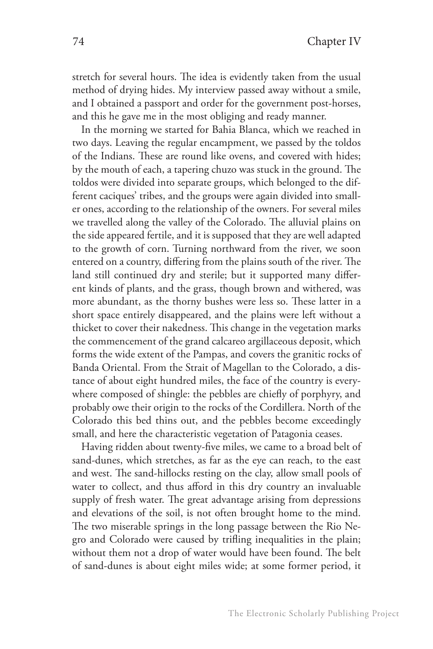stretch for several hours. The idea is evidently taken from the usual method of drying hides. My interview passed away without a smile, and I obtained a passport and order for the government post-horses, and this he gave me in the most obliging and ready manner.

In the morning we started for Bahia Blanca, which we reached in two days. Leaving the regular encampment, we passed by the toldos of the Indians. These are round like ovens, and covered with hides; by the mouth of each, a tapering chuzo was stuck in the ground. The toldos were divided into separate groups, which belonged to the different caciques' tribes, and the groups were again divided into smaller ones, according to the relationship of the owners. For several miles we travelled along the valley of the Colorado. The alluvial plains on the side appeared fertile, and it is supposed that they are well adapted to the growth of corn. Turning northward from the river, we soon entered on a country, differing from the plains south of the river. The land still continued dry and sterile; but it supported many different kinds of plants, and the grass, though brown and withered, was more abundant, as the thorny bushes were less so. These latter in a short space entirely disappeared, and the plains were left without a thicket to cover their nakedness. This change in the vegetation marks the commencement of the grand calcareo argillaceous deposit, which forms the wide extent of the Pampas, and covers the granitic rocks of Banda Oriental. From the Strait of Magellan to the Colorado, a distance of about eight hundred miles, the face of the country is everywhere composed of shingle: the pebbles are chiefly of porphyry, and probably owe their origin to the rocks of the Cordillera. North of the Colorado this bed thins out, and the pebbles become exceedingly small, and here the characteristic vegetation of Patagonia ceases.

Having ridden about twenty-five miles, we came to a broad belt of sand-dunes, which stretches, as far as the eye can reach, to the east and west. The sand-hillocks resting on the clay, allow small pools of water to collect, and thus afford in this dry country an invaluable supply of fresh water. The great advantage arising from depressions and elevations of the soil, is not often brought home to the mind. The two miserable springs in the long passage between the Rio Negro and Colorado were caused by trifling inequalities in the plain; without them not a drop of water would have been found. The belt of sand-dunes is about eight miles wide; at some former period, it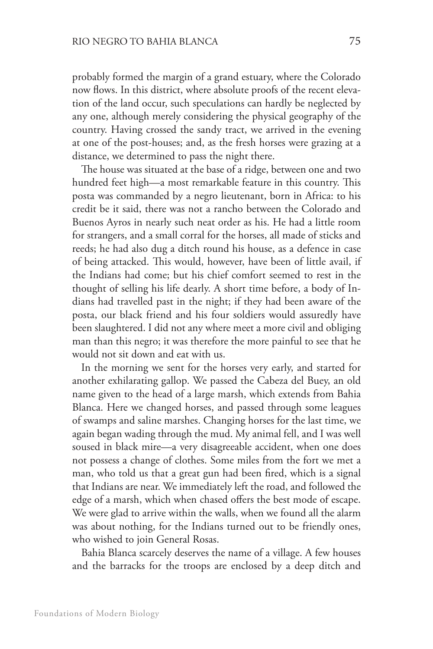probably formed the margin of a grand estuary, where the Colorado now flows. In this district, where absolute proofs of the recent elevation of the land occur, such speculations can hardly be neglected by any one, although merely considering the physical geography of the country. Having crossed the sandy tract, we arrived in the evening at one of the post-houses; and, as the fresh horses were grazing at a distance, we determined to pass the night there.

The house was situated at the base of a ridge, between one and two hundred feet high—a most remarkable feature in this country. This posta was commanded by a negro lieutenant, born in Africa: to his credit be it said, there was not a rancho between the Colorado and Buenos Ayros in nearly such neat order as his. He had a little room for strangers, and a small corral for the horses, all made of sticks and reeds; he had also dug a ditch round his house, as a defence in case of being attacked. This would, however, have been of little avail, if the Indians had come; but his chief comfort seemed to rest in the thought of selling his life dearly. A short time before, a body of Indians had travelled past in the night; if they had been aware of the posta, our black friend and his four soldiers would assuredly have been slaughtered. I did not any where meet a more civil and obliging man than this negro; it was therefore the more painful to see that he would not sit down and eat with us.

In the morning we sent for the horses very early, and started for another exhilarating gallop. We passed the Cabeza del Buey, an old name given to the head of a large marsh, which extends from Bahia Blanca. Here we changed horses, and passed through some leagues of swamps and saline marshes. Changing horses for the last time, we again began wading through the mud. My animal fell, and I was well soused in black mire—a very disagreeable accident, when one does not possess a change of clothes. Some miles from the fort we met a man, who told us that a great gun had been fired, which is a signal that Indians are near. We immediately left the road, and followed the edge of a marsh, which when chased offers the best mode of escape. We were glad to arrive within the walls, when we found all the alarm was about nothing, for the Indians turned out to be friendly ones, who wished to join General Rosas.

Bahia Blanca scarcely deserves the name of a village. A few houses and the barracks for the troops are enclosed by a deep ditch and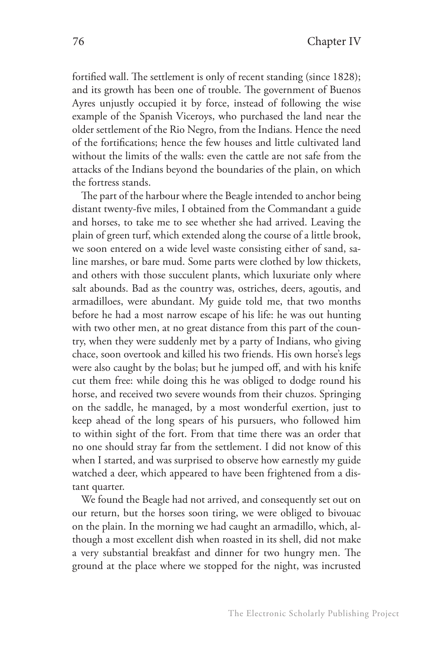fortified wall. The settlement is only of recent standing (since 1828); and its growth has been one of trouble. The government of Buenos Ayres unjustly occupied it by force, instead of following the wise example of the Spanish Viceroys, who purchased the land near the older settlement of the Rio Negro, from the Indians. Hence the need of the fortifications; hence the few houses and little cultivated land without the limits of the walls: even the cattle are not safe from the attacks of the Indians beyond the boundaries of the plain, on which the fortress stands.

The part of the harbour where the Beagle intended to anchor being distant twenty-five miles, I obtained from the Commandant a guide and horses, to take me to see whether she had arrived. Leaving the plain of green turf, which extended along the course of a little brook, we soon entered on a wide level waste consisting either of sand, saline marshes, or bare mud. Some parts were clothed by low thickets, and others with those succulent plants, which luxuriate only where salt abounds. Bad as the country was, ostriches, deers, agoutis, and armadilloes, were abundant. My guide told me, that two months before he had a most narrow escape of his life: he was out hunting with two other men, at no great distance from this part of the country, when they were suddenly met by a party of Indians, who giving chace, soon overtook and killed his two friends. His own horse's legs were also caught by the bolas; but he jumped off, and with his knife cut them free: while doing this he was obliged to dodge round his horse, and received two severe wounds from their chuzos. Springing on the saddle, he managed, by a most wonderful exertion, just to keep ahead of the long spears of his pursuers, who followed him to within sight of the fort. From that time there was an order that no one should stray far from the settlement. I did not know of this when I started, and was surprised to observe how earnestly my guide watched a deer, which appeared to have been frightened from a distant quarter.

We found the Beagle had not arrived, and consequently set out on our return, but the horses soon tiring, we were obliged to bivouac on the plain. In the morning we had caught an armadillo, which, although a most excellent dish when roasted in its shell, did not make a very substantial breakfast and dinner for two hungry men. The ground at the place where we stopped for the night, was incrusted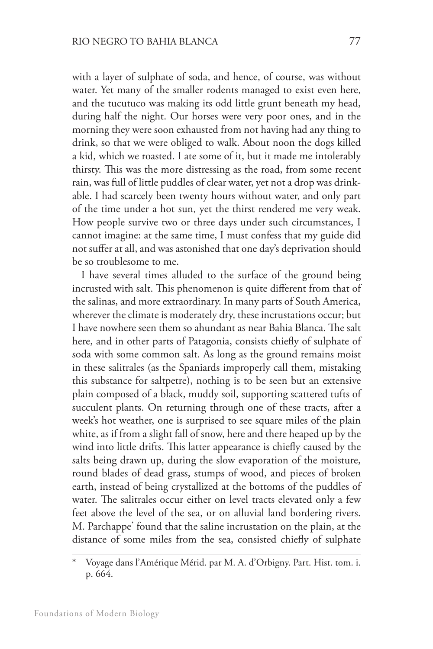with a layer of sulphate of soda, and hence, of course, was without water. Yet many of the smaller rodents managed to exist even here, and the tucutuco was making its odd little grunt beneath my head, during half the night. Our horses were very poor ones, and in the morning they were soon exhausted from not having had any thing to drink, so that we were obliged to walk. About noon the dogs killed a kid, which we roasted. I ate some of it, but it made me intolerably thirsty. This was the more distressing as the road, from some recent rain, was full of little puddles of clear water, yet not a drop was drinkable. I had scarcely been twenty hours without water, and only part of the time under a hot sun, yet the thirst rendered me very weak. How people survive two or three days under such circumstances, I cannot imagine: at the same time, I must confess that my guide did not suffer at all, and was astonished that one day's deprivation should be so troublesome to me.

I have several times alluded to the surface of the ground being incrusted with salt. This phenomenon is quite different from that of the salinas, and more extraordinary. In many parts of South America, wherever the climate is moderately dry, these incrustations occur; but I have nowhere seen them so ahundant as near Bahia Blanca. The salt here, and in other parts of Patagonia, consists chiefly of sulphate of soda with some common salt. As long as the ground remains moist in these salitrales (as the Spaniards improperly call them, mistaking this substance for saltpetre), nothing is to be seen but an extensive plain composed of a black, muddy soil, supporting scattered tufts of succulent plants. On returning through one of these tracts, after a week's hot weather, one is surprised to see square miles of the plain white, as if from a slight fall of snow, here and there heaped up by the wind into little drifts. This latter appearance is chiefly caused by the salts being drawn up, during the slow evaporation of the moisture, round blades of dead grass, stumps of wood, and pieces of broken earth, instead of being crystallized at the bottoms of the puddles of water. The salitrales occur either on level tracts elevated only a few feet above the level of the sea, or on alluvial land bordering rivers. M. Parchappe\* found that the saline incrustation on the plain, at the distance of some miles from the sea, consisted chiefly of sulphate

<sup>\*</sup> Voyage dans l'Amérique Mérid. par M. A. d'Orbigny. Part. Hist. tom. i. p. 664.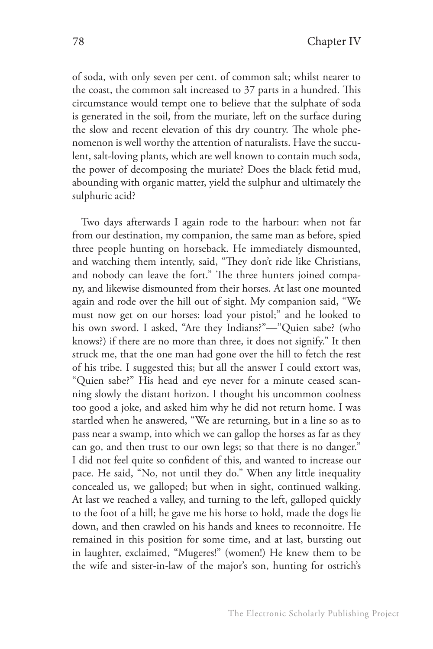of soda, with only seven per cent. of common salt; whilst nearer to the coast, the common salt increased to 37 parts in a hundred. This circumstance would tempt one to believe that the sulphate of soda is generated in the soil, from the muriate, left on the surface during the slow and recent elevation of this dry country. The whole phenomenon is well worthy the attention of naturalists. Have the succulent, salt-loving plants, which are well known to contain much soda, the power of decomposing the muriate? Does the black fetid mud, abounding with organic matter, yield the sulphur and ultimately the sulphuric acid?

Two days afterwards I again rode to the harbour: when not far from our destination, my companion, the same man as before, spied three people hunting on horseback. He immediately dismounted, and watching them intently, said, "They don't ride like Christians, and nobody can leave the fort." The three hunters joined company, and likewise dismounted from their horses. At last one mounted again and rode over the hill out of sight. My companion said, "We must now get on our horses: load your pistol;" and he looked to his own sword. I asked, "Are they Indians?"—"Quien sabe? (who knows?) if there are no more than three, it does not signify." It then struck me, that the one man had gone over the hill to fetch the rest of his tribe. I suggested this; but all the answer I could extort was, "Quien sabe?" His head and eye never for a minute ceased scanning slowly the distant horizon. I thought his uncommon coolness too good a joke, and asked him why he did not return home. I was startled when he answered, "We are returning, but in a line so as to pass near a swamp, into which we can gallop the horses as far as they can go, and then trust to our own legs; so that there is no danger." I did not feel quite so confident of this, and wanted to increase our pace. He said, "No, not until they do." When any little inequality concealed us, we galloped; but when in sight, continued walking. At last we reached a valley, and turning to the left, galloped quickly to the foot of a hill; he gave me his horse to hold, made the dogs lie down, and then crawled on his hands and knees to reconnoitre. He remained in this position for some time, and at last, bursting out in laughter, exclaimed, "Mugeres!" (women!) He knew them to be the wife and sister-in-law of the major's son, hunting for ostrich's